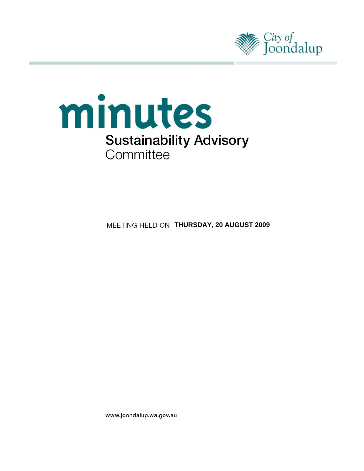



**MEETING HELD ON THURSDAY, 20 AUGUST 2009** 

www.joondalup.wa.gov.au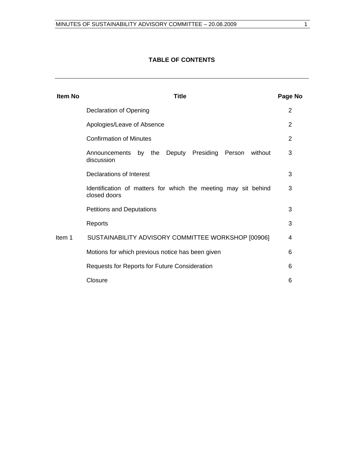# **TABLE OF CONTENTS**

| <b>Item No</b> | <b>Title</b>                                                                   | Page No        |
|----------------|--------------------------------------------------------------------------------|----------------|
|                | Declaration of Opening                                                         | 2              |
|                | Apologies/Leave of Absence                                                     | $\overline{2}$ |
|                | <b>Confirmation of Minutes</b>                                                 | 2              |
|                | by the Deputy Presiding Person<br>without<br>Announcements<br>discussion       | 3              |
|                | Declarations of Interest                                                       | 3              |
|                | Identification of matters for which the meeting may sit behind<br>closed doors | 3              |
|                | <b>Petitions and Deputations</b>                                               | 3              |
|                | Reports                                                                        | 3              |
| Item 1         | SUSTAINABILITY ADVISORY COMMITTEE WORKSHOP [00906]                             | 4              |
|                | Motions for which previous notice has been given                               | 6              |
|                | Requests for Reports for Future Consideration                                  | 6              |
|                | Closure                                                                        | 6              |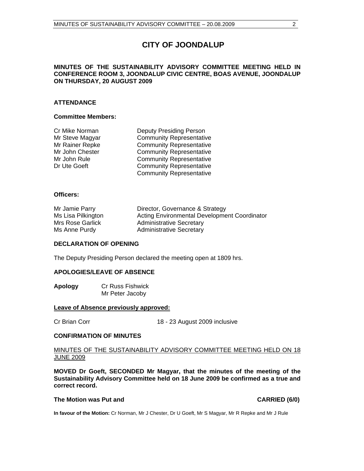# **CITY OF JOONDALUP**

# **MINUTES OF THE SUSTAINABILITY ADVISORY COMMITTEE MEETING HELD IN CONFERENCE ROOM 3, JOONDALUP CIVIC CENTRE, BOAS AVENUE, JOONDALUP ON THURSDAY, 20 AUGUST 2009**

# **ATTENDANCE**

## **Committee Members:**

| Cr Mike Norman  | <b>Deputy Presiding Person</b>  |
|-----------------|---------------------------------|
| Mr Steve Magyar | <b>Community Representative</b> |
| Mr Rainer Repke | <b>Community Representative</b> |
| Mr John Chester | <b>Community Representative</b> |
| Mr John Rule    | <b>Community Representative</b> |
| Dr Ute Goeft    | <b>Community Representative</b> |
|                 | <b>Community Representative</b> |

# **Officers:**

| Mr Jamie Parry     | Director, Governance & Strategy                     |
|--------------------|-----------------------------------------------------|
| Ms Lisa Pilkington | <b>Acting Environmental Development Coordinator</b> |
| Mrs Rose Garlick   | <b>Administrative Secretary</b>                     |
| Ms Anne Purdy      | <b>Administrative Secretary</b>                     |

### **DECLARATION OF OPENING**

The Deputy Presiding Person declared the meeting open at 1809 hrs.

# **APOLOGIES/LEAVE OF ABSENCE**

**Apology** Cr Russ Fishwick Mr Peter Jacoby

### **Leave of Absence previously approved:**

Cr Brian Corr 18 - 23 August 2009 inclusive

### **CONFIRMATION OF MINUTES**

MINUTES OF THE SUSTAINABILITY ADVISORY COMMITTEE MEETING HELD ON 18 JUNE 2009

**MOVED Dr Goeft, SECONDED Mr Magyar, that the minutes of the meeting of the Sustainability Advisory Committee held on 18 June 2009 be confirmed as a true and correct record.** 

# The Motion was Put and **CARRIED** (6/0)

**In favour of the Motion:** Cr Norman, Mr J Chester, Dr U Goeft, Mr S Magyar, Mr R Repke and Mr J Rule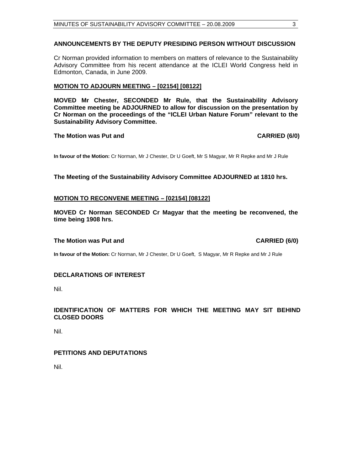# **ANNOUNCEMENTS BY THE DEPUTY PRESIDING PERSON WITHOUT DISCUSSION**

Cr Norman provided information to members on matters of relevance to the Sustainability Advisory Committee from his recent attendance at the ICLEI World Congress held in Edmonton, Canada, in June 2009.

# **MOTION TO ADJOURN MEETING – [02154] [08122]**

**MOVED Mr Chester, SECONDED Mr Rule, that the Sustainability Advisory Committee meeting be ADJOURNED to allow for discussion on the presentation by Cr Norman on the proceedings of the "ICLEI Urban Nature Forum" relevant to the Sustainability Advisory Committee.** 

**The Motion was Put and CARRIED (6/0) CARRIED (6/0)** 

**In favour of the Motion:** Cr Norman, Mr J Chester, Dr U Goeft, Mr S Magyar, Mr R Repke and Mr J Rule

**The Meeting of the Sustainability Advisory Committee ADJOURNED at 1810 hrs.** 

# **MOTION TO RECONVENE MEETING – [02154] [08122]**

**MOVED Cr Norman SECONDED Cr Magyar that the meeting be reconvened, the time being 1908 hrs.** 

### **The Motion was Put and CARRIED (6/0) CARRIED (6/0)**

**In favour of the Motion:** Cr Norman, Mr J Chester, Dr U Goeft, S Magyar, Mr R Repke and Mr J Rule

# **DECLARATIONS OF INTEREST**

Nil.

# **IDENTIFICATION OF MATTERS FOR WHICH THE MEETING MAY SIT BEHIND CLOSED DOORS**

Nil.

# **PETITIONS AND DEPUTATIONS**

Nil.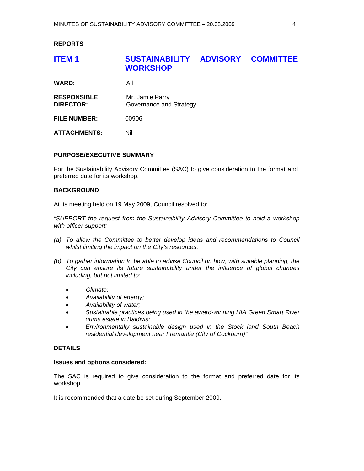# **REPORTS**

| <b>WARD:</b><br>All                                                                  | <b>COMMITTEE</b> |
|--------------------------------------------------------------------------------------|------------------|
|                                                                                      |                  |
| <b>RESPONSIBLE</b><br>Mr. Jamie Parry<br>Governance and Strategy<br><b>DIRECTOR:</b> |                  |
| <b>FILE NUMBER:</b><br>00906                                                         |                  |
| <b>ATTACHMENTS:</b><br>Nil                                                           |                  |

# **PURPOSE/EXECUTIVE SUMMARY**

For the Sustainability Advisory Committee (SAC) to give consideration to the format and preferred date for its workshop.

# **BACKGROUND**

At its meeting held on 19 May 2009, Council resolved to:

*"SUPPORT the request from the Sustainability Advisory Committee to hold a workshop with officer support:* 

- (a) To allow the Committee to better develop ideas and recommendations to Council *whilst limiting the impact on the City's resources;*
- *(b) To gather information to be able to advise Council on how, with suitable planning, the City can ensure its future sustainability under the influence of global changes including, but not limited to:* 
	- *Climate;*
	- *Availability of energy;*
	- *Availability of water;*
	- *Sustainable practices being used in the award-winning HIA Green Smart River gums estate in Baldivis;*
	- *Environmentally sustainable design used in the Stock land South Beach residential development near Fremantle (City of Cockburn)"*

### **DETAILS**

### **Issues and options considered:**

The SAC is required to give consideration to the format and preferred date for its workshop.

It is recommended that a date be set during September 2009.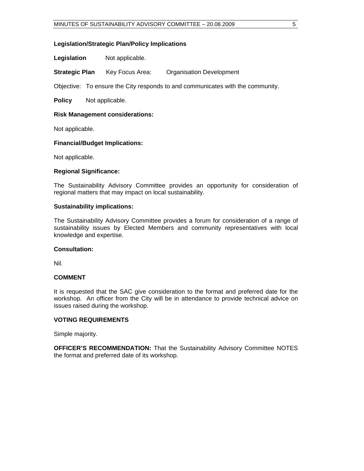# **Legislation/Strategic Plan/Policy Implications**

**Legislation** Not applicable.

**Strategic Plan** Key Focus Area: Organisation Development

Objective: To ensure the City responds to and communicates with the community.

**Policy** Not applicable.

# **Risk Management considerations:**

Not applicable.

# **Financial/Budget Implications:**

Not applicable.

# **Regional Significance:**

The Sustainability Advisory Committee provides an opportunity for consideration of regional matters that may impact on local sustainability.

# **Sustainability implications:**

The Sustainability Advisory Committee provides a forum for consideration of a range of sustainability issues by Elected Members and community representatives with local knowledge and expertise.

# **Consultation:**

Nil.

### **COMMENT**

It is requested that the SAC give consideration to the format and preferred date for the workshop. An officer from the City will be in attendance to provide technical advice on issues raised during the workshop.

### **VOTING REQUIREMENTS**

Simple majority.

**OFFICER'S RECOMMENDATION:** That the Sustainability Advisory Committee NOTES the format and preferred date of its workshop.